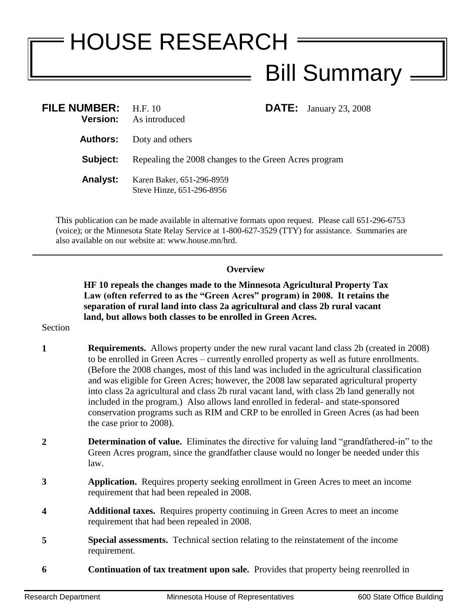## HOUSE RESEARCH Bill Summary =

| <b>FILE NUMBER:</b> H.F. 10<br><b>Version:</b> | As introduced                                          |  | <b>DATE:</b> January 23, 2008 |
|------------------------------------------------|--------------------------------------------------------|--|-------------------------------|
| Authors:                                       | Doty and others                                        |  |                               |
| Subject:                                       | Repealing the 2008 changes to the Green Acres program  |  |                               |
| <b>Analyst:</b>                                | Karen Baker, 651-296-8959<br>Steve Hinze, 651-296-8956 |  |                               |

This publication can be made available in alternative formats upon request. Please call 651-296-6753 (voice); or the Minnesota State Relay Service at 1-800-627-3529 (TTY) for assistance. Summaries are also available on our website at: www.house.mn/hrd.

## **Overview**

**HF 10 repeals the changes made to the Minnesota Agricultural Property Tax Law (often referred to as the "Green Acres" program) in 2008. It retains the separation of rural land into class 2a agricultural and class 2b rural vacant land, but allows both classes to be enrolled in Green Acres.**

Section

- **1 Requirements.** Allows property under the new rural vacant land class 2b (created in 2008) to be enrolled in Green Acres – currently enrolled property as well as future enrollments. (Before the 2008 changes, most of this land was included in the agricultural classification and was eligible for Green Acres; however, the 2008 law separated agricultural property into class 2a agricultural and class 2b rural vacant land, with class 2b land generally not included in the program.) Also allows land enrolled in federal- and state-sponsored conservation programs such as RIM and CRP to be enrolled in Green Acres (as had been the case prior to 2008).
- **2 Determination of value.** Eliminates the directive for valuing land "grandfathered-in" to the Green Acres program, since the grandfather clause would no longer be needed under this law.
- **3 Application.** Requires property seeking enrollment in Green Acres to meet an income requirement that had been repealed in 2008.
- **4 Additional taxes.** Requires property continuing in Green Acres to meet an income requirement that had been repealed in 2008.
- **5 Special assessments.** Technical section relating to the reinstatement of the income requirement.
- **6 Continuation of tax treatment upon sale.** Provides that property being reenrolled in